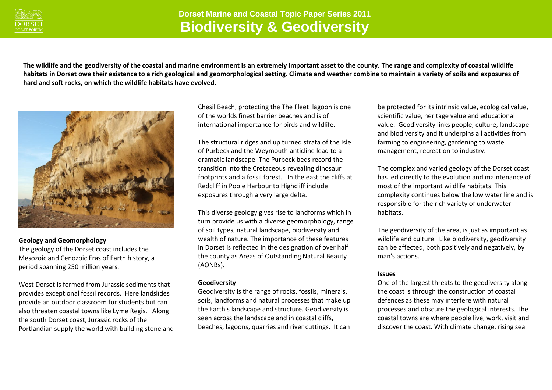

**The wildlife and the geodiversity of the coastal and marine environment is an extremely important asset to the county. The range and complexity of coastal wildlife habitats in Dorset owe their existence to a rich geological and geomorphological setting. Climate and weather combine to maintain a variety of soils and exposures of hard and soft rocks, on which the wildlife habitats have evolved.**



## **Geology and Geomorphology**

The geology of the Dorset coast includes the Mesozoic and Cenozoic Eras of Earth history, a period spanning 250 million years.

West Dorset is formed from Jurassic sediments that provides exceptional fossil records. Here landslides provide an outdoor classroom for students but can also threaten coastal towns like Lyme Regis. Along the south Dorset coast, Jurassic rocks of the Portlandian supply the world with building stone and

Chesil Beach, protecting the The Fleet lagoon is one of the worlds finest barrier beaches and is of international importance for birds and wildlife.

The structural ridges and up turned strata of the Isle of Purbeck and the Weymouth anticline lead to a dramatic landscape. The Purbeck beds record the transition into the Cretaceous revealing dinosaur footprints and a fossil forest. In the east the cliffs at Redcliff in Poole Harbour to Highcliff include exposures through a very large delta.

This diverse geology gives rise to landforms which in turn provide us with a diverse geomorphology, range of soil types, natural landscape, biodiversity and wealth of nature. The importance of these features in Dorset is reflected in the designation of over half the county as Areas of Outstanding Natural Beauty (AONBs).

## **Geodiversity**

Geodiversity is the range of rocks, fossils, minerals, soils, landforms and natural processes that make up the Earth's landscape and structure. Geodiversity is seen across the landscape and in coastal cliffs, beaches, lagoons, quarries and river cuttings. It can

be protected for its intrinsic value, ecological value, scientific value, heritage value and educational value. Geodiversity links people, culture, landscape and biodiversity and it underpins all activities from farming to engineering, gardening to waste management, recreation to industry.

The complex and varied geology of the Dorset coast has led directly to the evolution and maintenance of most of the important wildlife habitats. This complexity continues below the low water line and is responsible for the rich variety of underwater habitats.

The geodiversity of the area, is just as important as wildlife and culture. Like biodiversity, geodiversity can be affected, both positively and negatively, by man's actions.

## **Issues**

One of the largest threats to the geodiversity along the coast is through the construction of coastal defences as these may interfere with natural processes and obscure the geological interests. The coastal towns are where people live, work, visit and discover the coast. With climate change, rising sea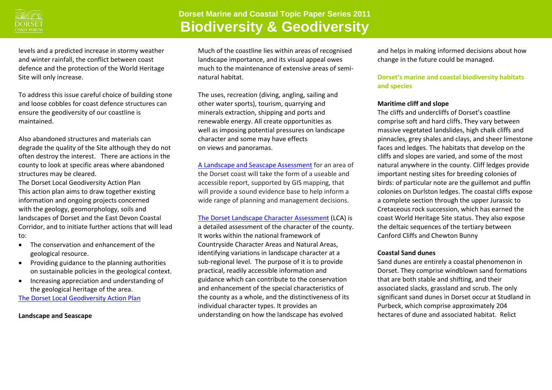

levels and a predicted increase in stormy weather and winter rainfall, the conflict between coast defence and the protection of the World Heritage Site will only increase.

To address this issue careful choice of building stone and loose cobbles for coast defence structures can ensure the geodiversity of our coastline is maintained.

Also abandoned structures and materials can degrade the quality of the Site although they do not often destroy the interest. There are actions in the county to look at specific areas where abandoned structures may be cleared.

The Dorset Local Geodiversity Action Plan This action plan aims to draw together existing information and ongoing projects concerned with the geology, geomorphology, soils and landscapes of Dorset and the East Devon Coastal Corridor, and to initiate further actions that will lead to:

- The conservation and enhancement of the geological resource.
- Providing guidance to the planning authorities on sustainable policies in the geological context.
- Increasing appreciation and understanding of the geological heritage of the area. [The Dorset Local Geodiversity Action Plan](http://www.dorsetforyou.com/media.jsp?mediaid=74820&filetype=pdf)

**Landscape and Seascape** 

Much of the coastline lies within areas of recognised landscape importance, and its visual appeal owes much to the maintenance of extensive areas of seminatural habitat.

The uses, recreation (diving, angling, sailing and other water sports), tourism, quarrying and minerals extraction, shipping and ports and renewable energy. All create opportunities as well as imposing potential pressures on landscape character and some may have effects on views and panoramas.

[A Landscape and Seascape Assessment](http://www.dorsetforyou.com/media.jsp?mediaid=155128&filetype=pdf) for an area of the Dorset coast will take the form of a useable and accessible report, supported by GIS mapping, that will provide a sound evidence base to help inform a wide range of planning and management decisions.

[The Dorset Landscape Character Assessment](http://www.dorsetforyou.com/media.jsp?mediaid=138442&filetype=pdf) (LCA) is a detailed assessment of the character of the county. It works within the national framework of Countryside Character Areas and Natural Areas, identifying variations in landscape character at a sub-regional level. The purpose of it is to provide practical, readily accessible information and guidance which can contribute to the conservation and enhancement of the special characteristics of the county as a whole, and the distinctiveness of its individual character types. It provides an understanding on how the landscape has evolved

and helps in making informed decisions about how change in the future could be managed.

# **Dorset's marine and coastal biodiversity habitats and species**

## **Maritime cliff and slope**

The cliffs and undercliffs of Dorset's coastline comprise soft and hard cliffs. They vary between massive vegetated landslides, high chalk cliffs and pinnacles, grey shales and clays, and sheer limestone faces and ledges. The habitats that develop on the cliffs and slopes are varied, and some of the most natural anywhere in the county. Cliff ledges provide important nesting sites for breeding colonies of birds: of particular note are the guillemot and puffin colonies on Durlston ledges. The coastal cliffs expose a complete section through the upper Jurassic to Cretaceous rock succession, which has earned the coast World Heritage Site status. They also expose the deltaic sequences of the tertiary between Canford Cliffs and Chewton Bunny

## **Coastal Sand dunes**

Sand dunes are entirely a coastal phenomenon in Dorset. They comprise windblown sand formations that are both stable and shifting, and their associated slacks, grassland and scrub. The only significant sand dunes in Dorset occur at Studland in Purbeck, which comprise approximately 204 hectares of dune and associated habitat. Relict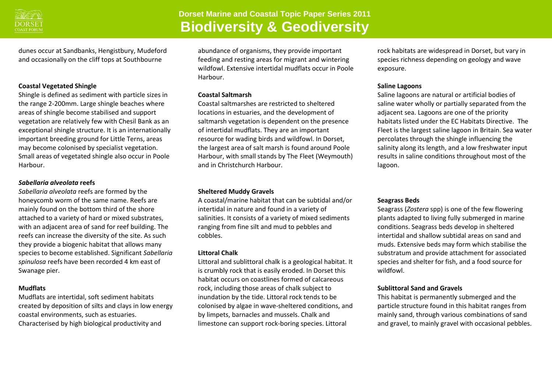

dunes occur at Sandbanks, Hengistbury, Mudeford and occasionally on the cliff tops at Southbourne

#### **Coastal Vegetated Shingle**

Shingle is defined as sediment with particle sizes in the range 2-200mm. Large shingle beaches where areas of shingle become stabilised and support vegetation are relatively few with Chesil Bank as an exceptional shingle structure. It is an internationally important breeding ground for Little Terns, areas may become colonised by specialist vegetation. Small areas of vegetated shingle also occur in Poole **Harbour** 

#### *Sabellaria alveolata* **reefs**

*Sabellaria alveolata* reefs are formed by the honeycomb worm of the same name. Reefs are mainly found on the bottom third of the shore attached to a variety of hard or mixed substrates, with an adjacent area of sand for reef building. The reefs can increase the diversity of the site. As such they provide a biogenic habitat that allows many species to become established. Significant *Sabellaria spinulosa* reefs have been recorded 4 km east of Swanage pier.

#### **Mudflats**

Mudflats are intertidal, soft sediment habitats created by deposition of silts and clays in low energy coastal environments, such as estuaries. Characterised by high biological productivity and

abundance of organisms, they provide important feeding and resting areas for migrant and wintering wildfowl. Extensive intertidal mudflats occur in Poole Harbour.

#### **Coastal Saltmarsh**

Coastal saltmarshes are restricted to sheltered locations in estuaries, and the development of saltmarsh vegetation is dependent on the presence of intertidal mudflats. They are an important resource for wading birds and wildfowl. In Dorset, the largest area of salt marsh is found around Poole Harbour, with small stands by The Fleet (Weymouth) and in Christchurch Harbour.

#### **Sheltered Muddy Gravels**

A coastal/marine habitat that can be subtidal and/or intertidal in nature and found in a variety of salinities. It consists of a variety of mixed sediments ranging from fine silt and mud to pebbles and cobbles.

#### **Littoral Chalk**

Littoral and sublittoral chalk is a geological habitat. It is crumbly rock that is easily eroded. In Dorset this habitat occurs on coastlines formed of calcareous rock, including those areas of chalk subject to inundation by the tide. Littoral rock tends to be colonised by algae in wave-sheltered conditions, and by limpets, barnacles and mussels. Chalk and limestone can support rock-boring species. Littoral

rock habitats are widespread in Dorset, but vary in species richness depending on geology and wave exposure.

#### **Saline Lagoons**

Saline lagoons are natural or artificial bodies of saline water wholly or partially separated from the adjacent sea. Lagoons are one of the priority habitats listed under the EC Habitats Directive. The Fleet is the largest saline lagoon in Britain. Sea water percolates through the shingle influencing the salinity along its length, and a low freshwater input results in saline conditions throughout most of the lagoon.

#### **Seagrass Beds**

Seagrass (*Zostera* spp) is one of the few flowering plants adapted to living fully submerged in marine conditions. Seagrass beds develop in sheltered intertidal and shallow subtidal areas on sand and muds. Extensive beds may form which stabilise the substratum and provide attachment for associated species and shelter for fish, and a food source for wildfowl.

#### **Sublittoral Sand and Gravels**

This habitat is permanently submerged and the particle structure found in this habitat ranges from mainly sand, through various combinations of sand and gravel, to mainly gravel with occasional pebbles.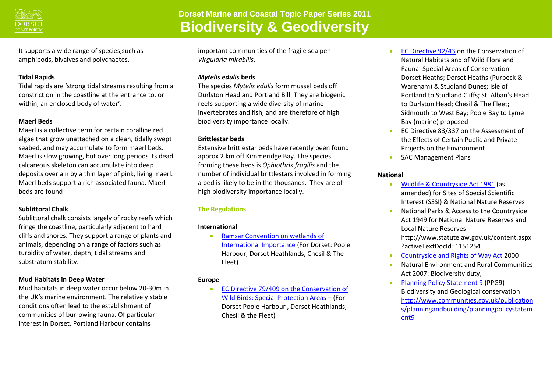

It supports a wide range of species,such as amphipods, bivalves and polychaetes.

## **Tidal Rapids**

Tidal rapids are 'strong tidal streams resulting from a constriction in the coastline at the entrance to, or within, an enclosed body of water'.

# **Maerl Beds**

Maerl is a collective term for certain coralline red algae that grow unattached on a clean, tidally swept seabed, and may accumulate to form maerl beds. Maerl is slow growing, but over long periods its dead calcareous skeleton can accumulate into deep deposits overlain by a thin layer of pink, living maerl. Maerl beds support a rich associated fauna. Maerl beds are found

# **Sublittoral Chalk**

Sublittoral chalk consists largely of rocky reefs which fringe the coastline, particularly adjacent to hard cliffs and shores. They support a range of plants and animals, depending on a range of factors such as turbidity of water, depth, tidal streams and substratum stability.

# **Mud Habitats in Deep Water**

Mud habitats in deep water occur below 20-30m in the UK's marine environment. The relatively stable conditions often lead to the establishment of communities of burrowing fauna. Of particular interest in Dorset, Portland Harbour contains

important communities of the fragile sea pen *Virgularia mirabilis*.

## *Mytelis edulis* **beds**

The species *Mytelis edulis* form mussel beds off Durlston Head and Portland Bill. They are biogenic reefs supporting a wide diversity of marine invertebrates and fish, and are therefore of high biodiversity importance locally.

# **Brittlestar beds**

Extensive brittlestar beds have recently been found approx 2 km off Kimmeridge Bay. The species forming these beds is *Ophiothrix fragilis* and the number of individual brittlestars involved in forming a bed is likely to be in the thousands. They are of high biodiversity importance locally.

# **The Regulations**

# **International**

 [Ramsar Convention on wetlands of](http://www.ramsar.org/cda/en/ramsarhome/main/ramsar/1_4000_0__)  [International Importance](http://www.ramsar.org/cda/en/ramsarhome/main/ramsar/1_4000_0__) (For Dorset: Poole Harbour, Dorset Heathlands, Chesil & The Fleet)

# **Europe**

● EC Directive 79/409 on the Conservation of [Wild Birds: Special Protection Areas](http://ec.europa.eu/environment/nature/legislation/birdsdirective/index_en.htm) – (For Dorset Poole Harbour , Dorset Heathlands, Chesil & the Fleet)

- [EC Directive 92/43](http://jncc.defra.gov.uk/page-1374) on the Conservation of Natural Habitats and of Wild Flora and Fauna: Special Areas of Conservation - Dorset Heaths; Dorset Heaths (Purbeck & Wareham) & Studland Dunes; Isle of Portland to Studland Cliffs; St. Alban's Head to Durlston Head; Chesil & The Fleet; Sidmouth to West Bay; Poole Bay to Lyme Bay (marine) proposed
- EC Directive 83/337 on the Assessment of the Effects of Certain Public and Private Projects on the Environment
- SAC Management Plans

# **National**

- [Wildlife & Countryside Act 1981](http://www.legislation.gov.uk/ukpga/1981/69) (as amended) for Sites of Special Scientific Interest (SSSI) & National Nature Reserves
- National Parks & Access to the Countryside Act 1949 for National Nature Reserves and Local Nature Reserves http://www.statutelaw.gov.uk/content.aspx ?activeTextDocId=1151254
- [Countryside and Rights of Way Act](http://www.legislation.gov.uk/ukpga/2000/37/contents) 2000
- Natural Environment and Rural Communities Act 2007: Biodiversity duty,
- [Planning Policy Statement 9](http://www.communities.gov.uk/publications/planningandbuilding/planningpolicystatement9) (PPG9) Biodiversity and Geological conservation [http://www.communities.gov.uk/publication](http://www.communities.gov.uk/publications/planningandbuilding/planningpolicystatement9) [s/planningandbuilding/planningpolicystatem](http://www.communities.gov.uk/publications/planningandbuilding/planningpolicystatement9) [ent9](http://www.communities.gov.uk/publications/planningandbuilding/planningpolicystatement9)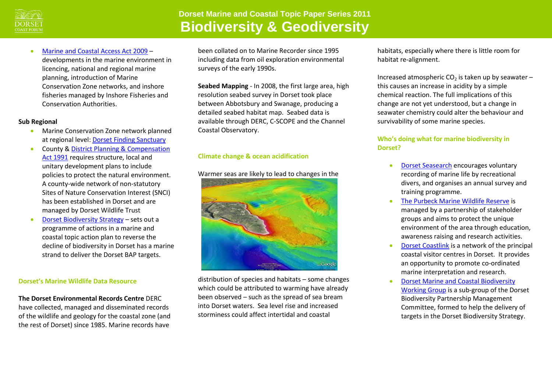

**[Marine and Coastal Access Act 2009](http://www.legislation.gov.uk/ukpga/2009/23/pdfs/ukpga_20090023_en.pdf) –** developments in the marine environment in licencing, national and regional marine planning, introduction of Marine Conservation Zone networks, and inshore fisheries managed by Inshore Fisheries and Conservation Authorities.

## **Sub Regional**

- **Marine Conservation Zone network planned** at regional level: [Dorset Finding Sanctuary](http://www.finding-sanctuary.org/page/home.html)
- **County & District Planning & Compensation** [Act 1991](http://www.legislation.gov.uk/ukpga/1991/34/contents) requires structure, local and unitary development plans to include policies to protect the natural environment. A county-wide network of non-statutory Sites of Nature Conservation Interest (SNCI) has been established in Dorset and are managed by Dorset Wildlife Trust
- [Dorset Biodiversity Strategy](http://www.dorsetwildlifetrust.org.uk/c2/uploads/08ch25.pdf) sets out a programme of actions in a marine and coastal topic action plan to reverse the decline of biodiversity in Dorset has a marine strand to deliver the Dorset BAP targets.

#### **Dorset's Marine Wildlife Data Resource**

**The Dorset Environmental Records Centre** DERC have collected, managed and disseminated records of the wildlife and geology for the coastal zone (and the rest of Dorset) since 1985. Marine records have

been collated on to Marine Recorder since 1995 including data from oil exploration environmental surveys of the early 1990s.

**Seabed Mapping** - In 2008, the first large area, high resolution seabed survey in Dorset took place between Abbotsbury and Swanage, producing a detailed seabed habitat map. Seabed data is available through DERC, C-SCOPE and the Channel Coastal Observatory.

# **Climate change & ocean acidification**

## Warmer seas are likely to lead to changes in the



distribution of species and habitats – some changes which could be attributed to warming have already been observed – such as the spread of sea bream into Dorset waters. Sea level rise and increased storminess could affect intertidal and coastal

habitats, especially where there is little room for habitat re-alignment.

Increased atmospheric  $CO<sub>2</sub>$  is taken up by seawater – this causes an increase in acidity by a simple chemical reaction. The full implications of this change are not yet understood, but a change in seawater chemistry could alter the behaviour and survivability of some marine species.

## **Who's doing what for marine biodiversity in Dorset?**

- [Dorset Seasearch](http://www.dorsetwildlifetrust.org.uk/dorset_seasearch.html) encourages voluntary recording of marine life by recreational divers, and organises an annual survey and training programme.
- [The Purbeck Marine Wildlife Reserve](http://www.dorsetwildlifetrust.org.uk/page143.html) is managed by a partnership of stakeholder groups and aims to protect the unique environment of the area through education, awareness raising and research activities.
- [Dorset Coastlink](http://www.cix.co.uk/~pmwr/) is a network of the principal coastal visitor centres in Dorset. It provides an opportunity to promote co-ordinated marine interpretation and research.
- [Dorset Marine and Coastal Biodiversity](http://www.biodiversitysouthwest.org.uk/docs/CAMSG071213.pdf)  [Working Group](http://www.biodiversitysouthwest.org.uk/docs/CAMSG071213.pdf) is a sub-group of the Dorset Biodiversity Partnership Management Committee, formed to help the delivery of targets in the Dorset Biodiversity Strategy.